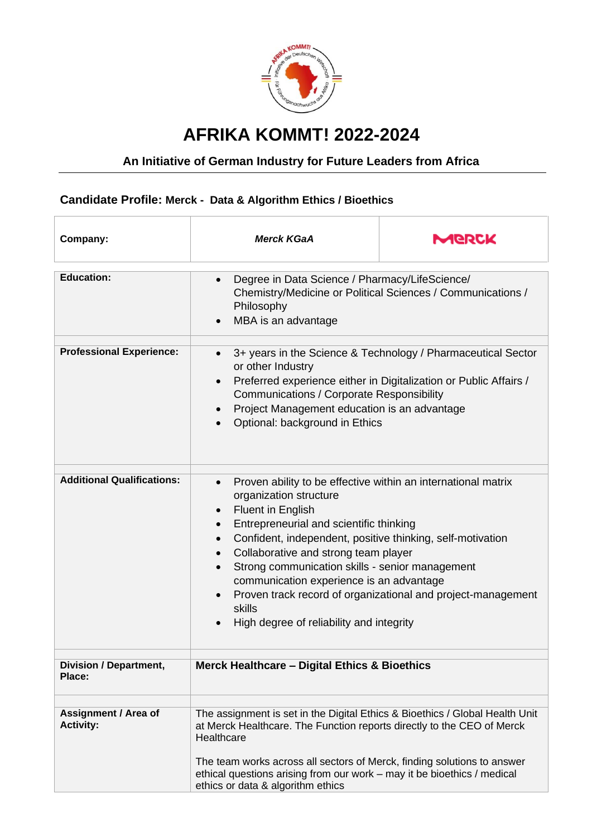

## **AFRIKA KOMMT! 2022-2024**

## **An Initiative of German Industry for Future Leaders from Africa**

## **Candidate Profile: Merck - Data & Algorithm Ethics / Bioethics**

| Company:                                        | <b>Merck KGaA</b>                                                                                                                                                                                                                                                                                                                                                                                                                                                                                      | MGRCK |
|-------------------------------------------------|--------------------------------------------------------------------------------------------------------------------------------------------------------------------------------------------------------------------------------------------------------------------------------------------------------------------------------------------------------------------------------------------------------------------------------------------------------------------------------------------------------|-------|
| <b>Education:</b>                               | Degree in Data Science / Pharmacy/LifeScience/<br>Chemistry/Medicine or Political Sciences / Communications /<br>Philosophy<br>MBA is an advantage                                                                                                                                                                                                                                                                                                                                                     |       |
| <b>Professional Experience:</b>                 | 3+ years in the Science & Technology / Pharmaceutical Sector<br>or other Industry<br>Preferred experience either in Digitalization or Public Affairs /<br>Communications / Corporate Responsibility<br>Project Management education is an advantage<br>Optional: background in Ethics                                                                                                                                                                                                                  |       |
| <b>Additional Qualifications:</b>               | Proven ability to be effective within an international matrix<br>$\bullet$<br>organization structure<br><b>Fluent in English</b><br>Entrepreneurial and scientific thinking<br>Confident, independent, positive thinking, self-motivation<br>Collaborative and strong team player<br>Strong communication skills - senior management<br>communication experience is an advantage<br>Proven track record of organizational and project-management<br>skills<br>High degree of reliability and integrity |       |
| <b>Division / Department,</b><br>Place:         | Merck Healthcare - Digital Ethics & Bioethics                                                                                                                                                                                                                                                                                                                                                                                                                                                          |       |
| <b>Assignment / Area of</b><br><b>Activity:</b> | The assignment is set in the Digital Ethics & Bioethics / Global Health Unit<br>at Merck Healthcare. The Function reports directly to the CEO of Merck<br>Healthcare<br>The team works across all sectors of Merck, finding solutions to answer<br>ethical questions arising from our work – may it be bioethics / medical<br>ethics or data & algorithm ethics                                                                                                                                        |       |